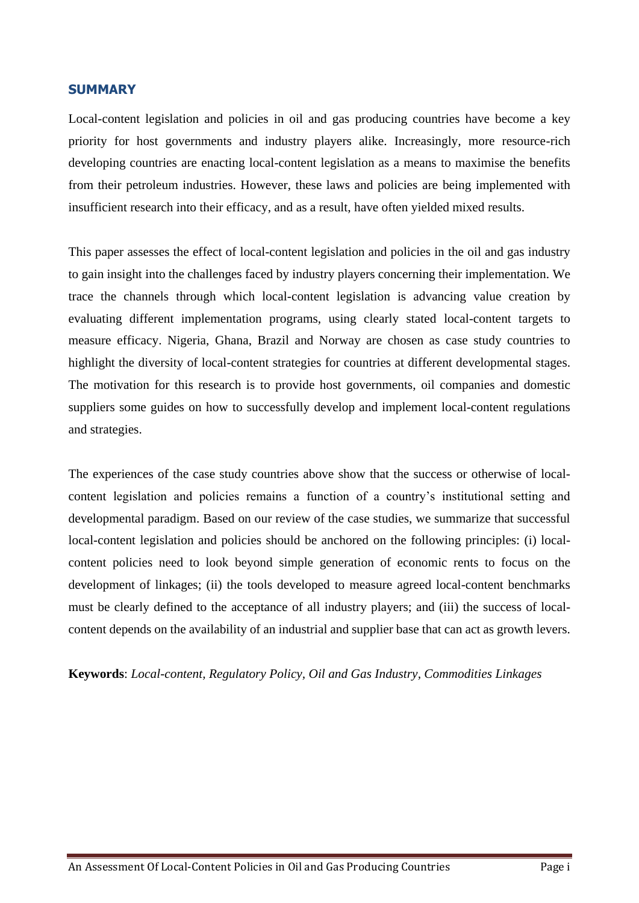## <span id="page-0-0"></span>**SUMMARY**

Local-content legislation and policies in oil and gas producing countries have become a key priority for host governments and industry players alike. Increasingly, more resource-rich developing countries are enacting local-content legislation as a means to maximise the benefits from their petroleum industries. However, these laws and policies are being implemented with insufficient research into their efficacy, and as a result, have often yielded mixed results.

This paper assesses the effect of local-content legislation and policies in the oil and gas industry to gain insight into the challenges faced by industry players concerning their implementation. We trace the channels through which local-content legislation is advancing value creation by evaluating different implementation programs, using clearly stated local-content targets to measure efficacy. Nigeria, Ghana, Brazil and Norway are chosen as case study countries to highlight the diversity of local-content strategies for countries at different developmental stages. The motivation for this research is to provide host governments, oil companies and domestic suppliers some guides on how to successfully develop and implement local-content regulations and strategies.

The experiences of the case study countries above show that the success or otherwise of localcontent legislation and policies remains a function of a country's institutional setting and developmental paradigm. Based on our review of the case studies, we summarize that successful local-content legislation and policies should be anchored on the following principles: (i) localcontent policies need to look beyond simple generation of economic rents to focus on the development of linkages; (ii) the tools developed to measure agreed local-content benchmarks must be clearly defined to the acceptance of all industry players; and (iii) the success of localcontent depends on the availability of an industrial and supplier base that can act as growth levers.

<span id="page-0-1"></span>**Keywords**: *Local-content, Regulatory Policy, Oil and Gas Industry, Commodities Linkages*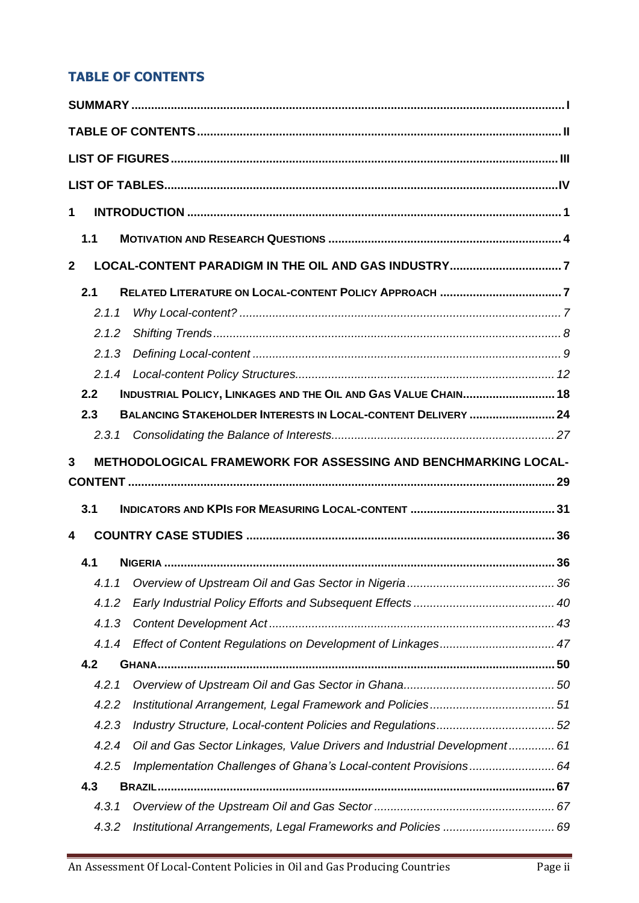## **TABLE OF CONTENTS**

| 1              |                |                                                                          |  |
|----------------|----------------|--------------------------------------------------------------------------|--|
|                |                |                                                                          |  |
|                | 1.1            |                                                                          |  |
| $\overline{2}$ |                |                                                                          |  |
|                | 2.1            |                                                                          |  |
|                | 2.1.1          |                                                                          |  |
|                | 2.1.2          |                                                                          |  |
|                | 2.1.3          |                                                                          |  |
|                |                |                                                                          |  |
|                | 2.2            | INDUSTRIAL POLICY, LINKAGES AND THE OIL AND GAS VALUE CHAIN 18           |  |
|                | 2.3            | <b>BALANCING STAKEHOLDER INTERESTS IN LOCAL-CONTENT DELIVERY  24</b>     |  |
|                | 2.3.1          |                                                                          |  |
| 3              |                | <b>METHODOLOGICAL FRAMEWORK FOR ASSESSING AND BENCHMARKING LOCAL-</b>    |  |
|                |                |                                                                          |  |
|                |                |                                                                          |  |
|                | 3.1            |                                                                          |  |
| 4              |                |                                                                          |  |
|                |                |                                                                          |  |
|                | 4.1            |                                                                          |  |
|                | 4.1.1<br>4.1.2 |                                                                          |  |
|                | 4.1.3          |                                                                          |  |
|                | 4.1.4          |                                                                          |  |
|                | 4.2            |                                                                          |  |
|                | 4.2.1          |                                                                          |  |
|                | 4.2.2          |                                                                          |  |
|                | 4.2.3          |                                                                          |  |
|                | 4.2.4          | Oil and Gas Sector Linkages, Value Drivers and Industrial Development 61 |  |
|                | 4.2.5          | Implementation Challenges of Ghana's Local-content Provisions 64         |  |
|                | 4.3            |                                                                          |  |
|                | 4.3.1          |                                                                          |  |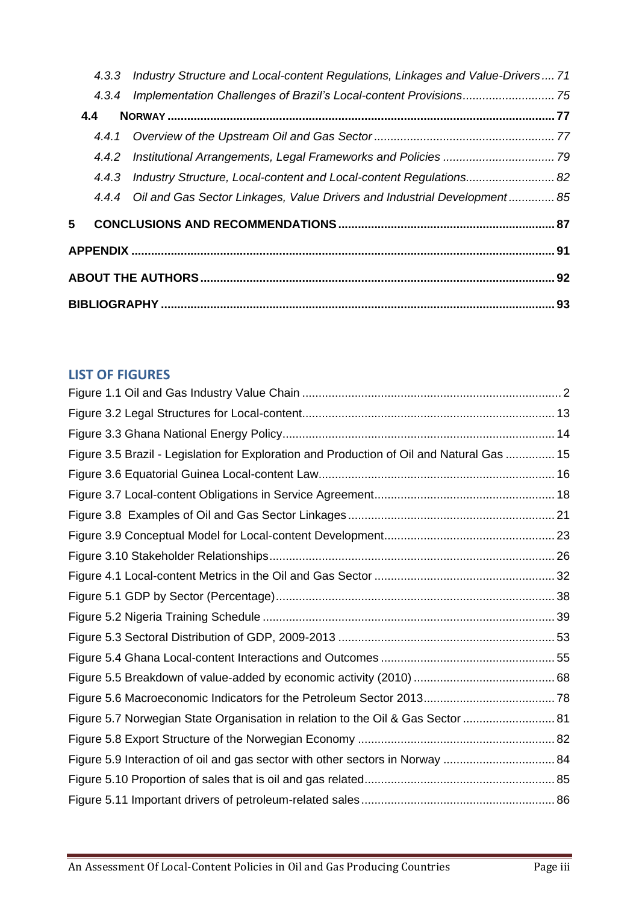|   |     | 4.3.3 Industry Structure and Local-content Regulations, Linkages and Value-Drivers 71 |  |  |
|---|-----|---------------------------------------------------------------------------------------|--|--|
|   |     | 4.3.4 Implementation Challenges of Brazil's Local-content Provisions 75               |  |  |
|   | 4.4 |                                                                                       |  |  |
|   |     |                                                                                       |  |  |
|   |     |                                                                                       |  |  |
|   |     | 4.4.3 Industry Structure, Local-content and Local-content Regulations 82              |  |  |
|   |     | 4.4.4 Oil and Gas Sector Linkages, Value Drivers and Industrial Development 85        |  |  |
| 5 |     |                                                                                       |  |  |
|   |     |                                                                                       |  |  |
|   |     |                                                                                       |  |  |
|   |     |                                                                                       |  |  |
|   |     |                                                                                       |  |  |

## <span id="page-2-0"></span>**LIST OF FIGURES**

| Figure 3.5 Brazil - Legislation for Exploration and Production of Oil and Natural Gas  15 |  |
|-------------------------------------------------------------------------------------------|--|
|                                                                                           |  |
|                                                                                           |  |
|                                                                                           |  |
|                                                                                           |  |
|                                                                                           |  |
|                                                                                           |  |
|                                                                                           |  |
|                                                                                           |  |
|                                                                                           |  |
|                                                                                           |  |
|                                                                                           |  |
|                                                                                           |  |
| Figure 5.7 Norwegian State Organisation in relation to the Oil & Gas Sector  81           |  |
|                                                                                           |  |
| Figure 5.9 Interaction of oil and gas sector with other sectors in Norway  84             |  |
|                                                                                           |  |
|                                                                                           |  |